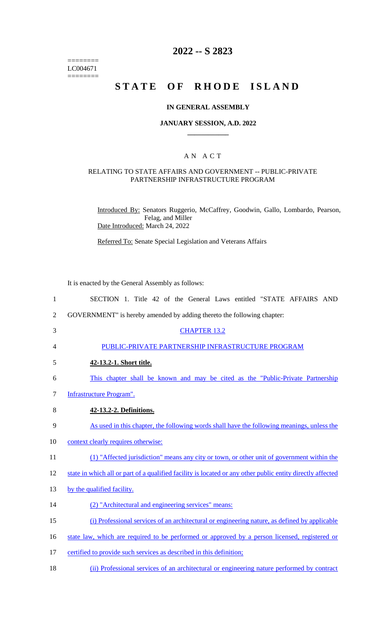======== LC004671  $=$ 

# **2022 -- S 2823**

# **STATE OF RHODE ISLAND**

### **IN GENERAL ASSEMBLY**

### **JANUARY SESSION, A.D. 2022 \_\_\_\_\_\_\_\_\_\_\_\_**

### A N A C T

#### RELATING TO STATE AFFAIRS AND GOVERNMENT -- PUBLIC-PRIVATE PARTNERSHIP INFRASTRUCTURE PROGRAM

Introduced By: Senators Ruggerio, McCaffrey, Goodwin, Gallo, Lombardo, Pearson, Felag, and Miller Date Introduced: March 24, 2022

Referred To: Senate Special Legislation and Veterans Affairs

It is enacted by the General Assembly as follows:

| SECTION 1. Title 42 of the General Laws entitled "STATE AFFAIRS AND                                        |
|------------------------------------------------------------------------------------------------------------|
| GOVERNMENT" is hereby amended by adding thereto the following chapter:                                     |
| <b>CHAPTER 13.2</b>                                                                                        |
| PUBLIC-PRIVATE PARTNERSHIP INFRASTRUCTURE PROGRAM                                                          |
| 42-13.2-1. Short title.                                                                                    |
| This chapter shall be known and may be cited as the "Public-Private Partnership"                           |
| <b>Infrastructure Program".</b>                                                                            |
| 42-13.2-2. Definitions.                                                                                    |
| As used in this chapter, the following words shall have the following meanings, unless the                 |
| context clearly requires otherwise:                                                                        |
| (1) "Affected jurisdiction" means any city or town, or other unit of government within the                 |
| state in which all or part of a qualified facility is located or any other public entity directly affected |
| by the qualified facility.                                                                                 |
| (2) "Architectural and engineering services" means:                                                        |
| (i) Professional services of an architectural or engineering nature, as defined by applicable              |
| state law, which are required to be performed or approved by a person licensed, registered or              |
| certified to provide such services as described in this definition;                                        |
|                                                                                                            |

18 (ii) Professional services of an architectural or engineering nature performed by contract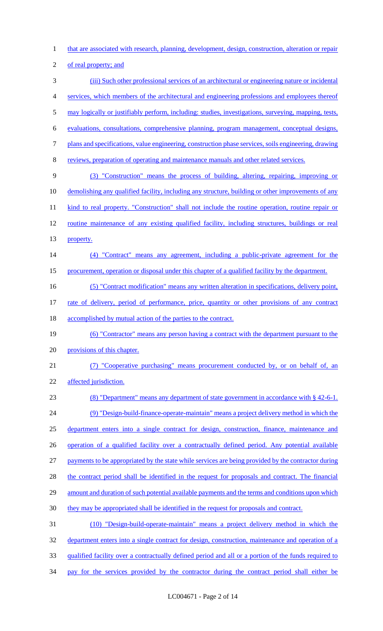that are associated with research, planning, development, design, construction, alteration or repair

of real property; and

 (iii) Such other professional services of an architectural or engineering nature or incidental services, which members of the architectural and engineering professions and employees thereof may logically or justifiably perform, including: studies, investigations, surveying, mapping, tests, evaluations, consultations, comprehensive planning, program management, conceptual designs, plans and specifications, value engineering, construction phase services, soils engineering, drawing reviews, preparation of operating and maintenance manuals and other related services. (3) "Construction" means the process of building, altering, repairing, improving or 10 demolishing any qualified facility, including any structure, building or other improvements of any 11 kind to real property. "Construction" shall not include the routine operation, routine repair or 12 routine maintenance of any existing qualified facility, including structures, buildings or real property. (4) "Contract" means any agreement, including a public-private agreement for the procurement, operation or disposal under this chapter of a qualified facility by the department. (5) "Contract modification" means any written alteration in specifications, delivery point, 17 rate of delivery, period of performance, price, quantity or other provisions of any contract 18 accomplished by mutual action of the parties to the contract. (6) "Contractor" means any person having a contract with the department pursuant to the provisions of this chapter. (7) "Cooperative purchasing" means procurement conducted by, or on behalf of, an affected jurisdiction. (8) "Department" means any department of state government in accordance with § 42-6-1. (9) "Design-build-finance-operate-maintain" means a project delivery method in which the department enters into a single contract for design, construction, finance, maintenance and operation of a qualified facility over a contractually defined period. Any potential available payments to be appropriated by the state while services are being provided by the contractor during 28 the contract period shall be identified in the request for proposals and contract. The financial amount and duration of such potential available payments and the terms and conditions upon which they may be appropriated shall be identified in the request for proposals and contract. (10) "Design-build-operate-maintain" means a project delivery method in which the 32 department enters into a single contract for design, construction, maintenance and operation of a qualified facility over a contractually defined period and all or a portion of the funds required to 34 pay for the services provided by the contractor during the contract period shall either be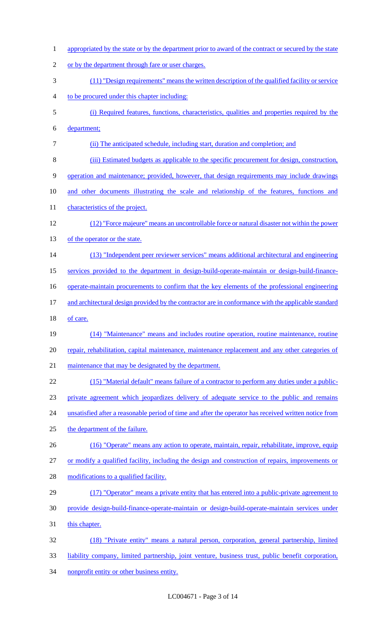1 appropriated by the state or by the department prior to award of the contract or secured by the state 2 or by the department through fare or user charges. 3 (11) "Design requirements" means the written description of the qualified facility or service 4 to be procured under this chapter including: 5 (i) Required features, functions, characteristics, qualities and properties required by the 6 department; 7 (ii) The anticipated schedule, including start, duration and completion; and 8 (iii) Estimated budgets as applicable to the specific procurement for design, construction, 9 operation and maintenance; provided, however, that design requirements may include drawings 10 and other documents illustrating the scale and relationship of the features, functions and 11 characteristics of the project. 12 (12) "Force majeure" means an uncontrollable force or natural disaster not within the power 13 of the operator or the state. 14 (13) "Independent peer reviewer services" means additional architectural and engineering 15 services provided to the department in design-build-operate-maintain or design-build-finance-16 operate-maintain procurements to confirm that the key elements of the professional engineering 17 and architectural design provided by the contractor are in conformance with the applicable standard 18 of care. 19 (14) "Maintenance" means and includes routine operation, routine maintenance, routine 20 repair, rehabilitation, capital maintenance, maintenance replacement and any other categories of 21 maintenance that may be designated by the department. 22 (15) "Material default" means failure of a contractor to perform any duties under a public-23 private agreement which jeopardizes delivery of adequate service to the public and remains 24 unsatisfied after a reasonable period of time and after the operator has received written notice from 25 the department of the failure. 26 (16) "Operate" means any action to operate, maintain, repair, rehabilitate, improve, equip 27 or modify a qualified facility, including the design and construction of repairs, improvements or 28 modifications to a qualified facility. 29 (17) "Operator" means a private entity that has entered into a public-private agreement to 30 provide design-build-finance-operate-maintain or design-build-operate-maintain services under 31 this chapter. 32 (18) "Private entity" means a natural person, corporation, general partnership, limited 33 liability company, limited partnership, joint venture, business trust, public benefit corporation, 34 nonprofit entity or other business entity.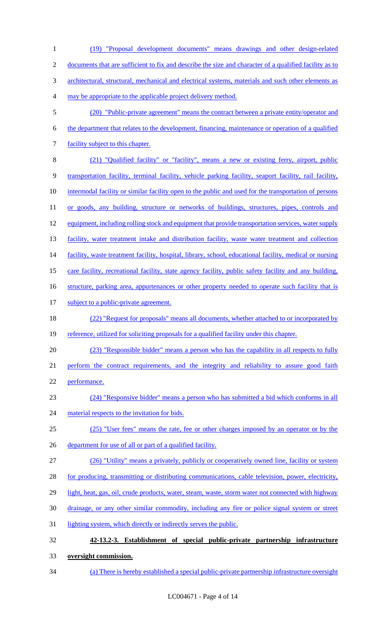1 (19) "Proposal development documents" means drawings and other design-related 2 documents that are sufficient to fix and describe the size and character of a qualified facility as to 3 architectural, structural, mechanical and electrical systems, materials and such other elements as 4 may be appropriate to the applicable project delivery method. 5 (20) "Public-private agreement" means the contract between a private entity/operator and 6 the department that relates to the development, financing, maintenance or operation of a qualified 7 facility subject to this chapter. 8 (21) "Qualified facility" or "facility", means a new or existing ferry, airport, public 9 transportation facility, terminal facility, vehicle parking facility, seaport facility, rail facility, 10 intermodal facility or similar facility open to the public and used for the transportation of persons 11 or goods, any building, structure or networks of buildings, structures, pipes, controls and 12 equipment, including rolling stock and equipment that provide transportation services, water supply 13 facility, water treatment intake and distribution facility, waste water treatment and collection 14 facility, waste treatment facility, hospital, library, school, educational facility, medical or nursing 15 care facility, recreational facility, state agency facility, public safety facility and any building, 16 structure, parking area, appurtenances or other property needed to operate such facility that is 17 subject to a public-private agreement. 18 (22) "Request for proposals" means all documents, whether attached to or incorporated by 19 reference, utilized for soliciting proposals for a qualified facility under this chapter. 20 (23) "Responsible bidder" means a person who has the capability in all respects to fully 21 perform the contract requirements, and the integrity and reliability to assure good faith 22 performance. 23 (24) "Responsive bidder" means a person who has submitted a bid which conforms in all 24 material respects to the invitation for bids. 25 (25) "User fees" means the rate, fee or other charges imposed by an operator or by the 26 department for use of all or part of a qualified facility. 27 (26) "Utility" means a privately, publicly or cooperatively owned line, facility or system 28 for producing, transmitting or distributing communications, cable television, power, electricity, 29 light, heat, gas, oil, crude products, water, steam, waste, storm water not connected with highway 30 drainage, or any other similar commodity, including any fire or police signal system or street 31 lighting system, which directly or indirectly serves the public. 32 **42-13.2-3. Establishment of special public-private partnership infrastructure**  33 **oversight commission.**  34 (a) There is hereby established a special public-private partnership infrastructure oversight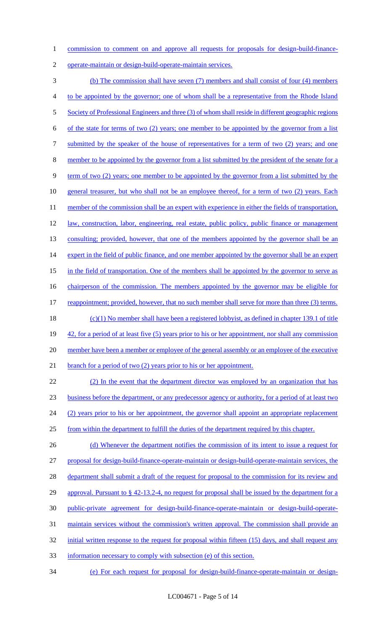1 commission to comment on and approve all requests for proposals for design-build-finance-

2 operate-maintain or design-build-operate-maintain services.

3 (b) The commission shall have seven (7) members and shall consist of four (4) members 4 to be appointed by the governor; one of whom shall be a representative from the Rhode Island 5 Society of Professional Engineers and three (3) of whom shall reside in different geographic regions 6 of the state for terms of two (2) years; one member to be appointed by the governor from a list 7 submitted by the speaker of the house of representatives for a term of two (2) years; and one 8 member to be appointed by the governor from a list submitted by the president of the senate for a 9 term of two (2) years; one member to be appointed by the governor from a list submitted by the 10 general treasurer, but who shall not be an employee thereof, for a term of two (2) years. Each 11 member of the commission shall be an expert with experience in either the fields of transportation, 12 law, construction, labor, engineering, real estate, public policy, public finance or management 13 consulting; provided, however, that one of the members appointed by the governor shall be an 14 expert in the field of public finance, and one member appointed by the governor shall be an expert 15 in the field of transportation. One of the members shall be appointed by the governor to serve as 16 chairperson of the commission. The members appointed by the governor may be eligible for 17 reappointment; provided, however, that no such member shall serve for more than three (3) terms. 18 (c)(1) No member shall have been a registered lobbyist, as defined in chapter 139.1 of title 19 42, for a period of at least five (5) years prior to his or her appointment, nor shall any commission 20 member have been a member or employee of the general assembly or an employee of the executive 21 branch for a period of two (2) years prior to his or her appointment. 22 (2) In the event that the department director was employed by an organization that has 23 business before the department, or any predecessor agency or authority, for a period of at least two 24 (2) years prior to his or her appointment, the governor shall appoint an appropriate replacement 25 from within the department to fulfill the duties of the department required by this chapter. 26 (d) Whenever the department notifies the commission of its intent to issue a request for 27 proposal for design-build-finance-operate-maintain or design-build-operate-maintain services, the 28 department shall submit a draft of the request for proposal to the commission for its review and 29 approval. Pursuant to § 42-13.2-4, no request for proposal shall be issued by the department for a 30 public-private agreement for design-build-finance-operate-maintain or design-build-operate-31 maintain services without the commission's written approval. The commission shall provide an 32 initial written response to the request for proposal within fifteen (15) days, and shall request any 33 information necessary to comply with subsection (e) of this section.

34 (e) For each request for proposal for design-build-finance-operate-maintain or design-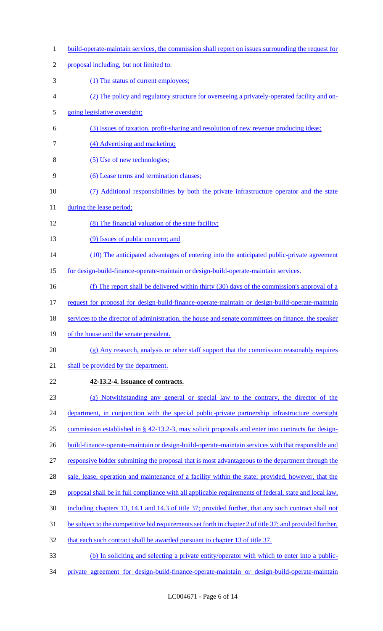- 1 build-operate-maintain services, the commission shall report on issues surrounding the request for
- proposal including, but not limited to:
- 3 (1) The status of current employees;
- (2) The policy and regulatory structure for overseeing a privately-operated facility and on-
- going legislative oversight;
- (3) Issues of taxation, profit-sharing and resolution of new revenue producing ideas;
- (4) Advertising and marketing;
- (5) Use of new technologies;
- (6) Lease terms and termination clauses;
- (7) Additional responsibilities by both the private infrastructure operator and the state
- 11 during the lease period;
- (8) The financial valuation of the state facility;
- (9) Issues of public concern; and
- 14 (10) The anticipated advantages of entering into the anticipated public-private agreement
- for design-build-finance-operate-maintain or design-build-operate-maintain services.
- (f) The report shall be delivered within thirty (30) days of the commission's approval of a
- request for proposal for design-build-finance-operate-maintain or design-build-operate-maintain
- 18 services to the director of administration, the house and senate committees on finance, the speaker
- 19 of the house and the senate president.
- (g) Any research, analysis or other staff support that the commission reasonably requires
- 21 shall be provided by the department.
- **42-13.2-4. Issuance of contracts.**
- (a) Notwithstanding any general or special law to the contrary, the director of the
- 24 department, in conjunction with the special public-private partnership infrastructure oversight
- commission established in § 42-13.2-3, may solicit proposals and enter into contracts for design-
- 26 build-finance-operate-maintain or design-build-operate-maintain services with that responsible and
- responsive bidder submitting the proposal that is most advantageous to the department through the
- 28 sale, lease, operation and maintenance of a facility within the state; provided, however, that the
- 29 proposal shall be in full compliance with all applicable requirements of federal, state and local law,
- including chapters 13, 14.1 and 14.3 of title 37; provided further, that any such contract shall not
- 31 be subject to the competitive bid requirements set forth in chapter 2 of title 37; and provided further,
- that each such contract shall be awarded pursuant to chapter 13 of title 37.
- (b) In soliciting and selecting a private entity/operator with which to enter into a public-
- private agreement for design-build-finance-operate-maintain or design-build-operate-maintain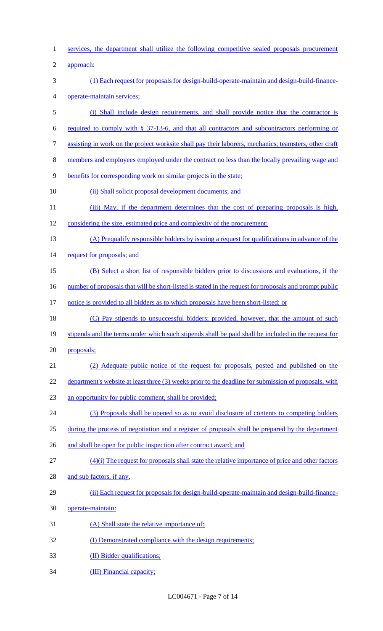| $\mathbf{1}$   | services, the department shall utilize the following competitive sealed proposals procurement          |
|----------------|--------------------------------------------------------------------------------------------------------|
| $\overline{2}$ | approach:                                                                                              |
| 3              | (1) Each request for proposals for design-build-operate-maintain and design-build-finance-             |
| $\overline{4}$ | operate-maintain services;                                                                             |
| 5              | (i) Shall include design requirements, and shall provide notice that the contractor is                 |
| 6              | required to comply with $\S$ 37-13-6, and that all contractors and subcontractors performing or        |
| $\tau$         | assisting in work on the project worksite shall pay their laborers, mechanics, teamsters, other craft  |
| 8              | members and employees employed under the contract no less than the locally prevailing wage and         |
| 9              | benefits for corresponding work on similar projects in the state;                                      |
| 10             | (ii) Shall solicit proposal development documents; and                                                 |
| 11             | (iii) May, if the department determines that the cost of preparing proposals is high,                  |
| 12             | considering the size, estimated price and complexity of the procurement:                               |
| 13             | (A) Prequalify responsible bidders by issuing a request for qualifications in advance of the           |
| 14             | request for proposals; and                                                                             |
| 15             | (B) Select a short list of responsible bidders prior to discussions and evaluations, if the            |
| 16             | number of proposals that will be short-listed is stated in the request for proposals and prompt public |
| 17             | notice is provided to all bidders as to which proposals have been short-listed; or                     |
| 18             | (C) Pay stipends to unsuccessful bidders; provided, however, that the amount of such                   |
| 19             | stipends and the terms under which such stipends shall be paid shall be included in the request for    |
| 20             | proposals;                                                                                             |
| 21             | (2) Adequate public notice of the request for proposals, posted and published on the                   |
| 22             | department's website at least three (3) weeks prior to the deadline for submission of proposals, with  |
| 23             | an opportunity for public comment, shall be provided;                                                  |
| 24             | (3) Proposals shall be opened so as to avoid disclosure of contents to competing bidders               |
| 25             | during the process of negotiation and a register of proposals shall be prepared by the department      |
| 26             | and shall be open for public inspection after contract award; and                                      |
| 27             | $(4)(i)$ The request for proposals shall state the relative importance of price and other factors      |
| 28             | and sub factors, if any.                                                                               |
| 29             | (ii) Each request for proposals for design-build-operate-maintain and design-build-finance-            |
| 30             | operate-maintain:                                                                                      |
| 31             | (A) Shall state the relative importance of:                                                            |
| 32             | (I) Demonstrated compliance with the design requirements;                                              |
| 33             | (II) Bidder qualifications;                                                                            |
| 34             | (III) Financial capacity;                                                                              |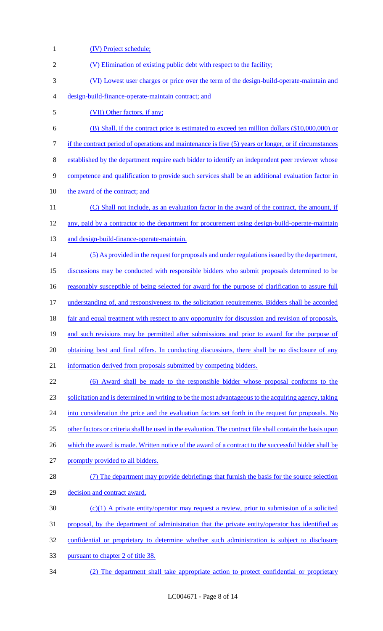| $\mathbf{1}$   | (IV) Project schedule;                                                                                    |
|----------------|-----------------------------------------------------------------------------------------------------------|
| $\overline{2}$ | (V) Elimination of existing public debt with respect to the facility;                                     |
| 3              | (VI) Lowest user charges or price over the term of the design-build-operate-maintain and                  |
| 4              | design-build-finance-operate-maintain contract; and                                                       |
| 5              | (VII) Other factors, if any;                                                                              |
| 6              | (B) Shall, if the contract price is estimated to exceed ten million dollars (\$10,000,000) or             |
| 7              | if the contract period of operations and maintenance is five (5) years or longer, or if circumstances     |
| 8              | established by the department require each bidder to identify an independent peer reviewer whose          |
| 9              | competence and qualification to provide such services shall be an additional evaluation factor in         |
| 10             | the award of the contract; and                                                                            |
| 11             | (C) Shall not include, as an evaluation factor in the award of the contract, the amount, if               |
| 12             | any, paid by a contractor to the department for procurement using design-build-operate-maintain           |
| 13             | and design-build-finance-operate-maintain.                                                                |
| 14             | (5) As provided in the request for proposals and under regulations issued by the department,              |
| 15             | discussions may be conducted with responsible bidders who submit proposals determined to be               |
| 16             | reasonably susceptible of being selected for award for the purpose of clarification to assure full        |
| 17             | understanding of, and responsiveness to, the solicitation requirements. Bidders shall be accorded         |
| 18             | fair and equal treatment with respect to any opportunity for discussion and revision of proposals,        |
| 19             | and such revisions may be permitted after submissions and prior to award for the purpose of               |
| 20             | obtaining best and final offers. In conducting discussions, there shall be no disclosure of any           |
| 21             | information derived from proposals submitted by competing bidders.                                        |
| 22             | (6) Award shall be made to the responsible bidder whose proposal conforms to the                          |
| 23             | solicitation and is determined in writing to be the most advantageous to the acquiring agency, taking     |
| 24             | into consideration the price and the evaluation factors set forth in the request for proposals. No        |
| 25             | other factors or criteria shall be used in the evaluation. The contract file shall contain the basis upon |
| 26             | which the award is made. Written notice of the award of a contract to the successful bidder shall be      |
| 27             | promptly provided to all bidders.                                                                         |
| 28             | (7) The department may provide debriefings that furnish the basis for the source selection                |
| 29             | decision and contract award.                                                                              |
| 30             | $(c)(1)$ A private entity/operator may request a review, prior to submission of a solicited               |
| 31             | proposal, by the department of administration that the private entity/operator has identified as          |
| 32             | confidential or proprietary to determine whether such administration is subject to disclosure             |
| 33             | pursuant to chapter 2 of title 38.                                                                        |
| 34             | (2) The department shall take appropriate action to protect confidential or proprietary                   |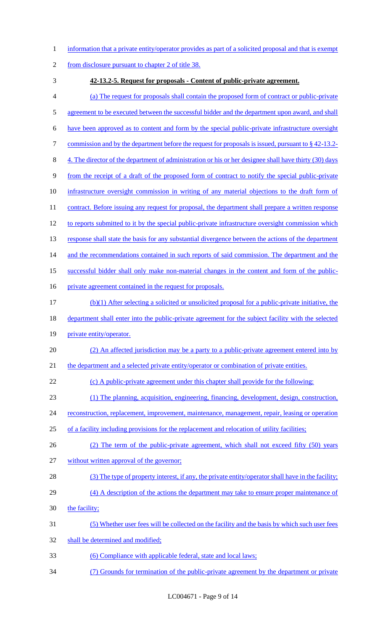- 1 information that a private entity/operator provides as part of a solicited proposal and that is exempt
- 2 from disclosure pursuant to chapter 2 of title 38.
- 

### 3 **42-13.2-5. Request for proposals - Content of public-private agreement.**

- 4 (a) The request for proposals shall contain the proposed form of contract or public-private 5 agreement to be executed between the successful bidder and the department upon award, and shall
- 6 have been approved as to content and form by the special public-private infrastructure oversight
- 7 commission and by the department before the request for proposals is issued, pursuant to §42-13.2-
- 8 4. The director of the department of administration or his or her designee shall have thirty (30) days
- 9 from the receipt of a draft of the proposed form of contract to notify the special public-private
- 10 infrastructure oversight commission in writing of any material objections to the draft form of
- 11 contract. Before issuing any request for proposal, the department shall prepare a written response
- 12 to reports submitted to it by the special public-private infrastructure oversight commission which
- 13 response shall state the basis for any substantial divergence between the actions of the department
- 14 and the recommendations contained in such reports of said commission. The department and the
- 15 successful bidder shall only make non-material changes in the content and form of the public-
- 16 private agreement contained in the request for proposals.
- 17 (b)(1) After selecting a solicited or unsolicited proposal for a public-private initiative, the
- 18 department shall enter into the public-private agreement for the subject facility with the selected
- 19 private entity/operator.
- 20 (2) An affected jurisdiction may be a party to a public-private agreement entered into by
- 21 the department and a selected private entity/operator or combination of private entities.
- 22 (c) A public-private agreement under this chapter shall provide for the following:
- 23 (1) The planning, acquisition, engineering, financing, development, design, construction,
- 24 reconstruction, replacement, improvement, maintenance, management, repair, leasing or operation
- 25 of a facility including provisions for the replacement and relocation of utility facilities;
- 26 (2) The term of the public-private agreement, which shall not exceed fifty (50) years
- 27 without written approval of the governor;
- 28 (3) The type of property interest, if any, the private entity/operator shall have in the facility;
- 29 (4) A description of the actions the department may take to ensure proper maintenance of
- 30 the facility;
- 31 (5) Whether user fees will be collected on the facility and the basis by which such user fees
- 32 shall be determined and modified;
- 33 (6) Compliance with applicable federal, state and local laws;
- 34 (7) Grounds for termination of the public-private agreement by the department or private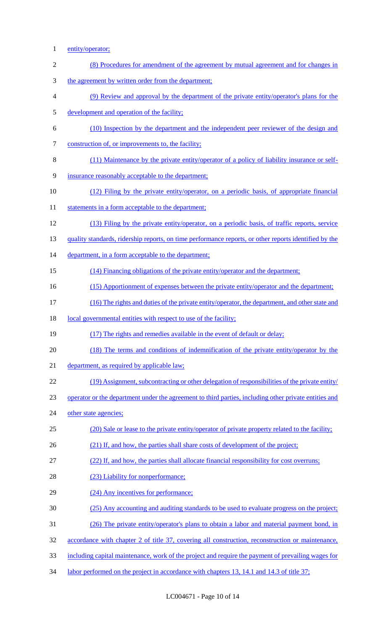- 1 entity/operator;
- 2 (8) Procedures for amendment of the agreement by mutual agreement and for changes in
- 3 the agreement by written order from the department;
- 4 (9) Review and approval by the department of the private entity/operator's plans for the
- 5 development and operation of the facility;
- 6 (10) Inspection by the department and the independent peer reviewer of the design and
- 7 construction of, or improvements to, the facility;
- 8 (11) Maintenance by the private entity/operator of a policy of liability insurance or self-
- 9 insurance reasonably acceptable to the department;
- 10 (12) Filing by the private entity/operator, on a periodic basis, of appropriate financial
- 11 statements in a form acceptable to the department;
- 12 (13) Filing by the private entity/operator, on a periodic basis, of traffic reports, service
- 13 quality standards, ridership reports, on time performance reports, or other reports identified by the
- 14 department, in a form acceptable to the department;
- 15 (14) Financing obligations of the private entity/operator and the department;
- 16 (15) Apportionment of expenses between the private entity/operator and the department;
- 17 (16) The rights and duties of the private entity/operator, the department, and other state and
- 18 local governmental entities with respect to use of the facility;

19 (17) The rights and remedies available in the event of default or delay;

- 20 (18) The terms and conditions of indemnification of the private entity/operator by the
- 21 department, as required by applicable law;
- 22 (19) Assignment, subcontracting or other delegation of responsibilities of the private entity/
- 23 operator or the department under the agreement to third parties, including other private entities and
- 24 other state agencies;
- 25 (20) Sale or lease to the private entity/operator of private property related to the facility;
- 26 (21) If, and how, the parties shall share costs of development of the project;
- 27 (22) If, and how, the parties shall allocate financial responsibility for cost overruns;
- 28 (23) Liability for nonperformance;
- 29 (24) Any incentives for performance;
- 30 (25) Any accounting and auditing standards to be used to evaluate progress on the project;
- 31 (26) The private entity/operator's plans to obtain a labor and material payment bond, in
- 32 accordance with chapter 2 of title 37, covering all construction, reconstruction or maintenance,
- 33 including capital maintenance, work of the project and require the payment of prevailing wages for
- 34 labor performed on the project in accordance with chapters 13, 14.1 and 14.3 of title 37;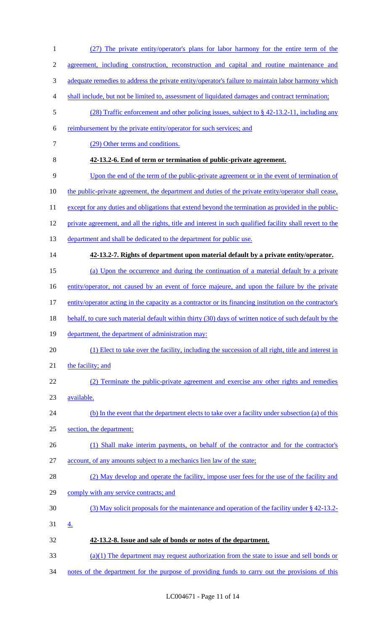| $\mathbf{1}$   | (27) The private entity/operator's plans for labor harmony for the entire term of the                    |
|----------------|----------------------------------------------------------------------------------------------------------|
| $\mathfrak{2}$ | agreement, including construction, reconstruction and capital and routine maintenance and                |
| 3              | adequate remedies to address the private entity/operator's failure to maintain labor harmony which       |
| 4              | shall include, but not be limited to, assessment of liquidated damages and contract termination;         |
| 5              | $(28)$ Traffic enforcement and other policing issues, subject to § 42-13.2-11, including any             |
| 6              | reimbursement by the private entity/operator for such services; and                                      |
| 7              | (29) Other terms and conditions.                                                                         |
| 8              | 42-13.2-6. End of term or termination of public-private agreement.                                       |
| 9              | Upon the end of the term of the public-private agreement or in the event of termination of               |
| 10             | the public-private agreement, the department and duties of the private entity/operator shall cease,      |
| 11             | except for any duties and obligations that extend beyond the termination as provided in the public-      |
| 12             | private agreement, and all the rights, title and interest in such qualified facility shall revert to the |
| 13             | department and shall be dedicated to the department for public use.                                      |
| 14             | 42-13.2-7. Rights of department upon material default by a private entity/operator.                      |
| 15             | (a) Upon the occurrence and during the continuation of a material default by a private                   |
| 16             | entity/operator, not caused by an event of force majeure, and upon the failure by the private            |
| 17             | entity/operator acting in the capacity as a contractor or its financing institution on the contractor's  |
| 18             | behalf, to cure such material default within thirty (30) days of written notice of such default by the   |
| 19             | department, the department of administration may:                                                        |
| 20             | (1) Elect to take over the facility, including the succession of all right, title and interest in        |
| 21             | the facility; and                                                                                        |
| 22             | (2) Terminate the public-private agreement and exercise any other rights and remedies                    |
| 23             | available.                                                                                               |
| 24             | (b) In the event that the department elects to take over a facility under subsection (a) of this         |
| 25             | section, the department:                                                                                 |
| 26             | (1) Shall make interim payments, on behalf of the contractor and for the contractor's                    |
| 27             | account, of any amounts subject to a mechanics lien law of the state;                                    |
| 28             | (2) May develop and operate the facility, impose user fees for the use of the facility and               |
| 29             | comply with any service contracts; and                                                                   |
| 30             | (3) May solicit proposals for the maintenance and operation of the facility under $\S$ 42-13.2-          |
| 31             | <u>4.</u>                                                                                                |
| 32             | 42-13.2-8. Issue and sale of bonds or notes of the department.                                           |
| 33             | $(a)(1)$ The department may request authorization from the state to issue and sell bonds or              |
|                |                                                                                                          |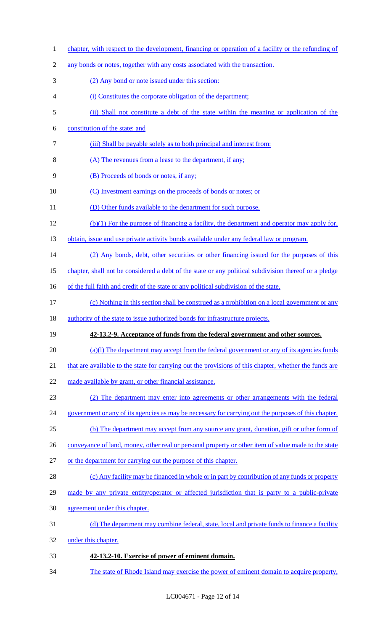1 chapter, with respect to the development, financing or operation of a facility or the refunding of any bonds or notes, together with any costs associated with the transaction. (2) Any bond or note issued under this section: (i) Constitutes the corporate obligation of the department; (ii) Shall not constitute a debt of the state within the meaning or application of the constitution of the state; and (iii) Shall be payable solely as to both principal and interest from: (A) The revenues from a lease to the department, if any; (B) Proceeds of bonds or notes, if any; (C) Investment earnings on the proceeds of bonds or notes; or 11 (D) Other funds available to the department for such purpose. (b)(1) For the purpose of financing a facility, the department and operator may apply for, 13 obtain, issue and use private activity bonds available under any federal law or program. 14 (2) Any bonds, debt, other securities or other financing issued for the purposes of this chapter, shall not be considered a debt of the state or any political subdivision thereof or a pledge 16 of the full faith and credit of the state or any political subdivision of the state. (c) Nothing in this section shall be construed as a prohibition on a local government or any authority of the state to issue authorized bonds for infrastructure projects. **42-13.2-9. Acceptance of funds from the federal government and other sources.**  20 (a)(l) The department may accept from the federal government or any of its agencies funds 21 that are available to the state for carrying out the provisions of this chapter, whether the funds are made available by grant, or other financial assistance. (2) The department may enter into agreements or other arrangements with the federal 24 government or any of its agencies as may be necessary for carrying out the purposes of this chapter. (b) The department may accept from any source any grant, donation, gift or other form of 26 conveyance of land, money, other real or personal property or other item of value made to the state or the department for carrying out the purpose of this chapter. (c) Any facility may be financed in whole or in part by contribution of any funds or property 29 made by any private entity/operator or affected jurisdiction that is party to a public-private agreement under this chapter. (d) The department may combine federal, state, local and private funds to finance a facility 32 under this chapter. **42-13.2-10. Exercise of power of eminent domain.**  The state of Rhode Island may exercise the power of eminent domain to acquire property,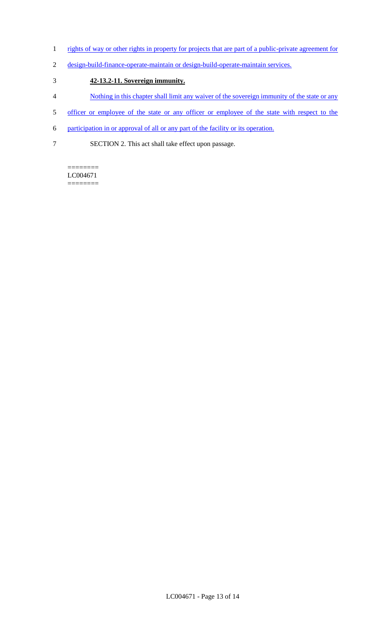- 1 rights of way or other rights in property for projects that are part of a public-private agreement for
- 2 design-build-finance-operate-maintain or design-build-operate-maintain services.

# 3 **42-13.2-11. Sovereign immunity.**

- 4 Nothing in this chapter shall limit any waiver of the sovereign immunity of the state or any
- 5 officer or employee of the state or any officer or employee of the state with respect to the
- 6 participation in or approval of all or any part of the facility or its operation.
- 7 SECTION 2. This act shall take effect upon passage.

======== LC004671 ========